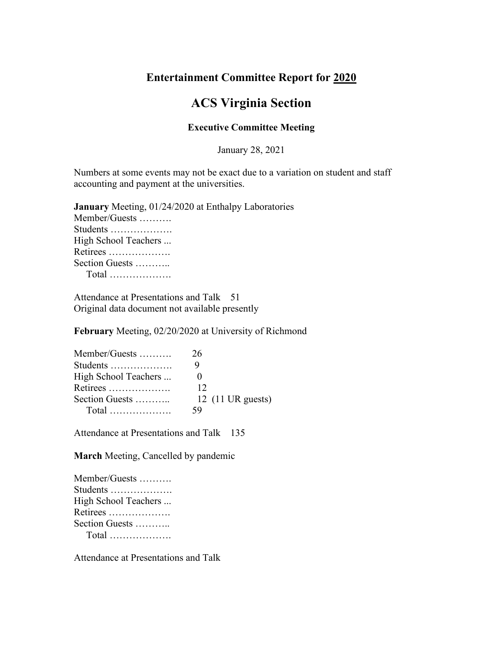## **Entertainment Committee Report for 2020**

## **ACS Virginia Section**

## **Executive Committee Meeting**

January 28, 2021

Numbers at some events may not be exact due to a variation on student and staff accounting and payment at the universities.

| January Meeting, 01/24/2020 at Enthalpy Laboratories |
|------------------------------------------------------|
| Member/Guests                                        |
| Students                                             |
| High School Teachers                                 |
| Retirees                                             |
| Section Guests                                       |
|                                                      |
|                                                      |

Attendance at Presentations and Talk 51 Original data document not available presently

**February** Meeting, 02/20/2020 at University of Richmond

| Member/Guests        | 26                                 |
|----------------------|------------------------------------|
| Students             |                                    |
| High School Teachers |                                    |
| Retirees             | 12                                 |
| Section Guests       | 12 $(11 \text{ UR} \text{ guess})$ |
|                      | 59                                 |

Attendance at Presentations and Talk 135

**March** Meeting, Cancelled by pandemic

| Member/Guests        |
|----------------------|
| Students             |
| High School Teachers |
| Retirees             |
| Section Guests       |
|                      |

Attendance at Presentations and Talk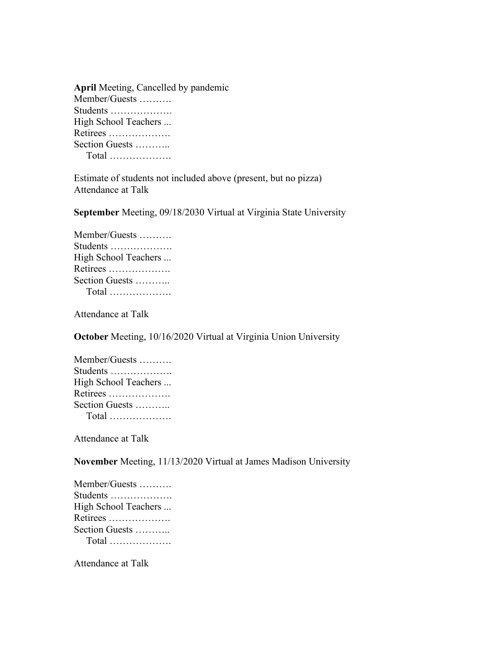| <b>April Meeting, Cancelled by pandemic</b> |
|---------------------------------------------|
| Member/Guests                               |
| Students                                    |
| High School Teachers                        |
| Retirees                                    |
| Section Guests                              |
|                                             |
|                                             |

Estimate of students not included above (present, but no pizza) Attendance at Talk

**September** Meeting, 09/18/2030 Virtual at Virginia State University

| Member/Guests        |
|----------------------|
| Students             |
| High School Teachers |
| Retirees             |
| Section Guests       |
|                      |

Attendance at Talk

**October** Meeting, 10/16/2020 Virtual at Virginia Union University

| Member/Guests        |
|----------------------|
| Students             |
| High School Teachers |
| Retirees             |
| Section Guests       |
|                      |

Attendance at Talk

**November** Meeting, 11/13/2020 Virtual at James Madison University

Attendance at Talk